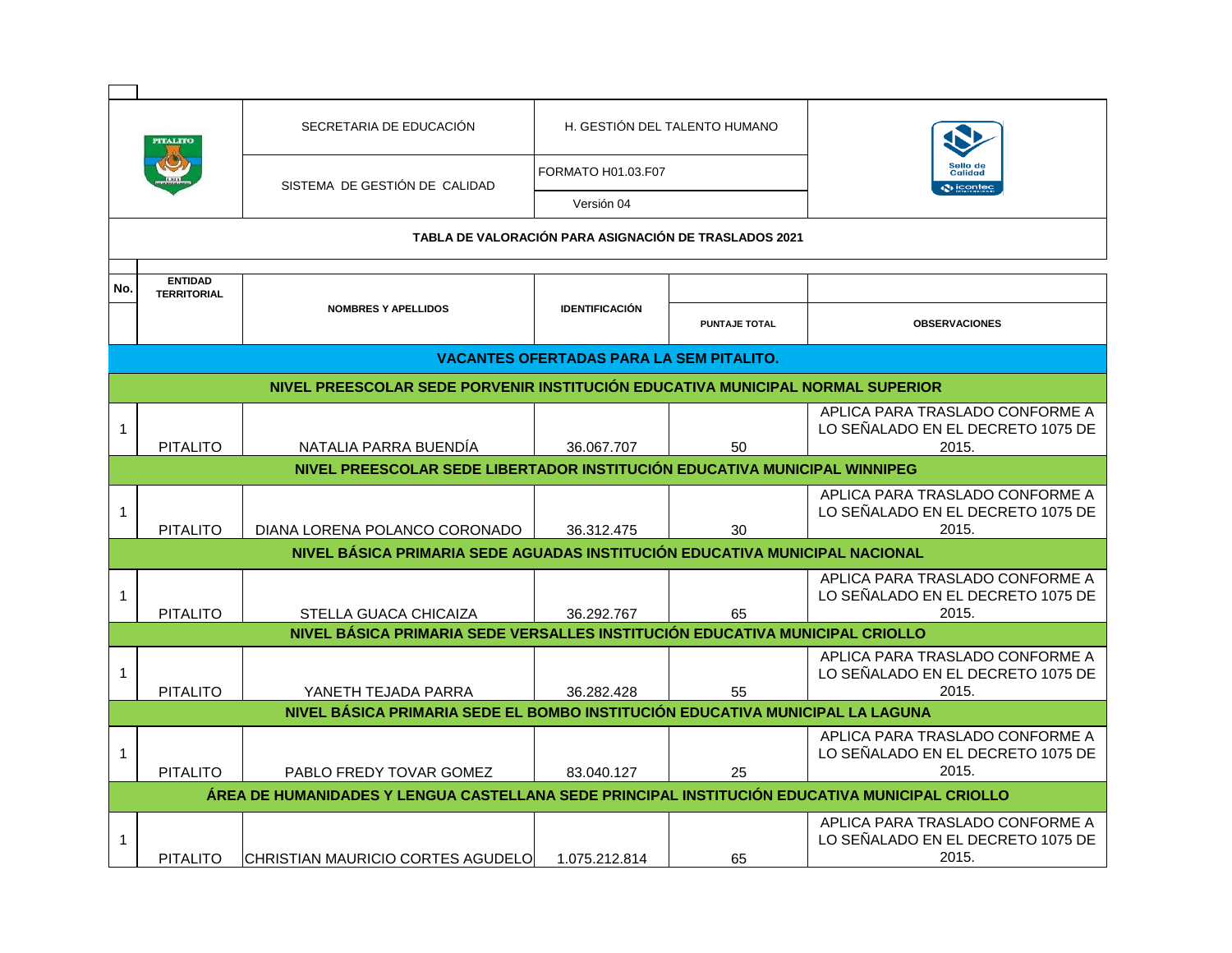|                                                                                                |                                                                           | SECRETARIA DE EDUCACIÓN                                                     |                                                 | H. GESTIÓN DEL TALENTO HUMANO |                                                                               |  |
|------------------------------------------------------------------------------------------------|---------------------------------------------------------------------------|-----------------------------------------------------------------------------|-------------------------------------------------|-------------------------------|-------------------------------------------------------------------------------|--|
|                                                                                                |                                                                           | SISTEMA DE GESTIÓN DE CALIDAD                                               | FORMATO H01.03.F07                              |                               | Sello de<br><b>Calidad</b>                                                    |  |
|                                                                                                |                                                                           |                                                                             | Versión 04                                      | <b>O</b> icontec              |                                                                               |  |
|                                                                                                |                                                                           | TABLA DE VALORACIÓN PARA ASIGNACIÓN DE TRASLADOS 2021                       |                                                 |                               |                                                                               |  |
|                                                                                                |                                                                           |                                                                             |                                                 |                               |                                                                               |  |
| No.                                                                                            | <b>ENTIDAD</b><br><b>TERRITORIAL</b>                                      |                                                                             |                                                 |                               |                                                                               |  |
|                                                                                                |                                                                           | <b>NOMBRES Y APELLIDOS</b>                                                  | <b>IDENTIFICACIÓN</b>                           | <b>PUNTAJE TOTAL</b>          | <b>OBSERVACIONES</b>                                                          |  |
|                                                                                                |                                                                           |                                                                             | <b>VACANTES OFERTADAS PARA LA SEM PITALITO.</b> |                               |                                                                               |  |
| NIVEL PREESCOLAR SEDE PORVENIR INSTITUCIÓN EDUCATIVA MUNICIPAL NORMAL SUPERIOR                 |                                                                           |                                                                             |                                                 |                               |                                                                               |  |
| $\mathbf{1}$                                                                                   | <b>PITALITO</b>                                                           | NATALIA PARRA BUENDÍA                                                       | 36.067.707                                      | 50                            | APLICA PARA TRASLADO CONFORME A<br>LO SEÑALADO EN EL DECRETO 1075 DE<br>2015. |  |
|                                                                                                | NIVEL PREESCOLAR SEDE LIBERTADOR INSTITUCIÓN EDUCATIVA MUNICIPAL WINNIPEG |                                                                             |                                                 |                               |                                                                               |  |
| $\mathbf{1}$                                                                                   | <b>PITALITO</b>                                                           | DIANA LORENA POLANCO CORONADO                                               | 36.312.475                                      | 30                            | APLICA PARA TRASLADO CONFORME A<br>LO SEÑALADO EN EL DECRETO 1075 DE<br>2015. |  |
|                                                                                                |                                                                           | NIVEL BÁSICA PRIMARIA SEDE AGUADAS INSTITUCIÓN EDUCATIVA MUNICIPAL NACIONAL |                                                 |                               |                                                                               |  |
| $\mathbf{1}$                                                                                   | <b>PITALITO</b>                                                           | STELLA GUACA CHICAIZA                                                       | 36.292.767                                      | 65                            | APLICA PARA TRASLADO CONFORME A<br>LO SEÑALADO EN EL DECRETO 1075 DE<br>2015. |  |
| NIVEL BÁSICA PRIMARIA SEDE VERSALLES INSTITUCIÓN EDUCATIVA MUNICIPAL CRIOLLO                   |                                                                           |                                                                             |                                                 |                               |                                                                               |  |
| 1                                                                                              | <b>PITALITO</b>                                                           | YANETH TEJADA PARRA                                                         | 36.282.428                                      | 55                            | APLICA PARA TRASLADO CONFORME A<br>LO SEÑALADO EN EL DECRETO 1075 DE<br>2015. |  |
| NIVEL BÁSICA PRIMARIA SEDE EL BOMBO INSTITUCIÓN EDUCATIVA MUNICIPAL LA LAGUNA                  |                                                                           |                                                                             |                                                 |                               |                                                                               |  |
| $\mathbf{1}$                                                                                   | <b>PITALITO</b>                                                           | PABLO FREDY TOVAR GOMEZ                                                     | 83.040.127                                      | 25                            | APLICA PARA TRASLADO CONFORME A<br>LO SEÑALADO EN EL DECRETO 1075 DE<br>2015. |  |
| ÁREA DE HUMANIDADES Y LENGUA CASTELLANA SEDE PRINCIPAL INSTITUCIÓN EDUCATIVA MUNICIPAL CRIOLLO |                                                                           |                                                                             |                                                 |                               |                                                                               |  |
| 1                                                                                              | <b>PITALITO</b>                                                           | CHRISTIAN MAURICIO CORTES AGUDELO                                           | 1.075.212.814                                   | 65                            | APLICA PARA TRASLADO CONFORME A<br>LO SEÑALADO EN EL DECRETO 1075 DE<br>2015. |  |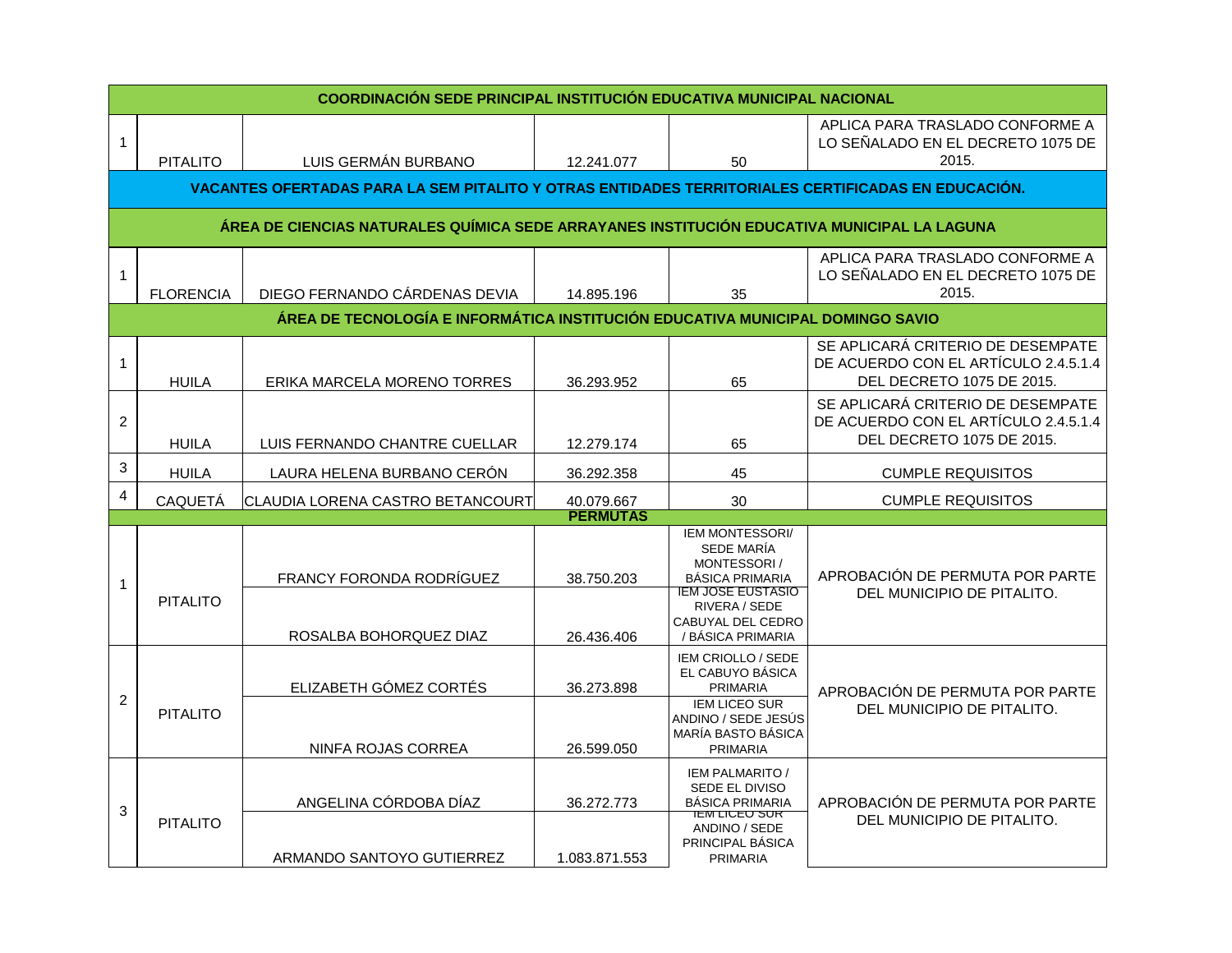|                | <b>COORDINACIÓN SEDE PRINCIPAL INSTITUCIÓN EDUCATIVA MUNICIPAL NACIONAL</b>                        |                                                                                |                             |                                                                                                                                             |                                                                                                        |  |  |
|----------------|----------------------------------------------------------------------------------------------------|--------------------------------------------------------------------------------|-----------------------------|---------------------------------------------------------------------------------------------------------------------------------------------|--------------------------------------------------------------------------------------------------------|--|--|
|                | <b>PITALITO</b>                                                                                    | LUIS GERMÁN BURBANO                                                            | 12.241.077                  | 50                                                                                                                                          | APLICA PARA TRASLADO CONFORME A<br>LO SEÑALADO EN EL DECRETO 1075 DE<br>2015.                          |  |  |
|                | VACANTES OFERTADAS PARA LA SEM PITALITO Y OTRAS ENTIDADES TERRITORIALES CERTIFICADAS EN EDUCACIÓN. |                                                                                |                             |                                                                                                                                             |                                                                                                        |  |  |
|                | ÁREA DE CIENCIAS NATURALES QUÍMICA SEDE ARRAYANES INSTITUCIÓN EDUCATIVA MUNICIPAL LA LAGUNA        |                                                                                |                             |                                                                                                                                             |                                                                                                        |  |  |
| 1              | <b>FLORENCIA</b>                                                                                   | DIEGO FERNANDO CÁRDENAS DEVIA                                                  | 14.895.196                  | 35                                                                                                                                          | APLICA PARA TRASLADO CONFORME A<br>LO SEÑALADO EN EL DECRETO 1075 DE<br>2015.                          |  |  |
|                |                                                                                                    | ÁREA DE TECNOLOGÍA E INFORMÁTICA INSTITUCIÓN EDUCATIVA MUNICIPAL DOMINGO SAVIO |                             |                                                                                                                                             |                                                                                                        |  |  |
| 1              | <b>HUILA</b>                                                                                       | ERIKA MARCELA MORENO TORRES                                                    | 36.293.952                  | 65                                                                                                                                          | SE APLICARÁ CRITERIO DE DESEMPATE<br>DE ACUERDO CON EL ARTÍCULO 2.4.5.1.4<br>DEL DECRETO 1075 DE 2015. |  |  |
| $\overline{c}$ | <b>HUILA</b>                                                                                       | LUIS FERNANDO CHANTRE CUELLAR                                                  | 12.279.174                  | 65                                                                                                                                          | SE APLICARÁ CRITERIO DE DESEMPATE<br>DE ACUERDO CON EL ARTÍCULO 2.4.5.1.4<br>DEL DECRETO 1075 DE 2015. |  |  |
| 3              | <b>HUILA</b>                                                                                       | LAURA HELENA BURBANO CERÓN                                                     | 36.292.358                  | 45                                                                                                                                          | <b>CUMPLE REQUISITOS</b>                                                                               |  |  |
| $\overline{4}$ | CAQUETÁ                                                                                            | CLAUDIA LORENA CASTRO BETANCOURT                                               | 40.079.667                  | 30                                                                                                                                          | <b>CUMPLE REQUISITOS</b>                                                                               |  |  |
|                |                                                                                                    |                                                                                | <b>PERMUTAS</b>             | <b>IEM MONTESSORI/</b>                                                                                                                      |                                                                                                        |  |  |
| 1              | <b>PITALITO</b>                                                                                    | FRANCY FORONDA RODRÍGUEZ<br>ROSALBA BOHORQUEZ DIAZ                             | 38.750.203<br>26.436.406    | SEDE MARÍA<br>MONTESSORI/<br><b>BÁSICA PRIMARIA</b><br><b>IEM JOSE EUSTASIO</b><br>RIVERA / SEDE<br>CABUYAL DEL CEDRO<br>/ BÁSICA PRIMARIA  | APROBACIÓN DE PERMUTA POR PARTE<br>DEL MUNICIPIO DE PITALITO.                                          |  |  |
| $\overline{c}$ | <b>PITALITO</b>                                                                                    | ELIZABETH GÓMEZ CORTÉS                                                         | 36.273.898                  | IEM CRIOLLO / SEDE<br>EL CABUYO BÁSICA<br><b>PRIMARIA</b>                                                                                   | APROBACIÓN DE PERMUTA POR PARTE<br>DEL MUNICIPIO DE PITALITO.                                          |  |  |
|                |                                                                                                    | NINFA ROJAS CORREA                                                             | 26.599.050                  | <b>IEM LICEO SUR</b><br>ANDINO / SEDE JESÚS<br>MARÍA BASTO BÁSICA<br><b>PRIMARIA</b>                                                        |                                                                                                        |  |  |
| 3              | <b>PITALITO</b>                                                                                    | ANGELINA CÓRDOBA DÍAZ<br>ARMANDO SANTOYO GUTIERREZ                             | 36.272.773<br>1.083.871.553 | IEM PALMARITO /<br>SEDE EL DIVISO<br><b>BÁSICA PRIMARIA</b><br><b>IEM LICEO SUR</b><br>ANDINO / SEDE<br>PRINCIPAL BÁSICA<br><b>PRIMARIA</b> | APROBACIÓN DE PERMUTA POR PARTE<br>DEL MUNICIPIO DE PITALITO.                                          |  |  |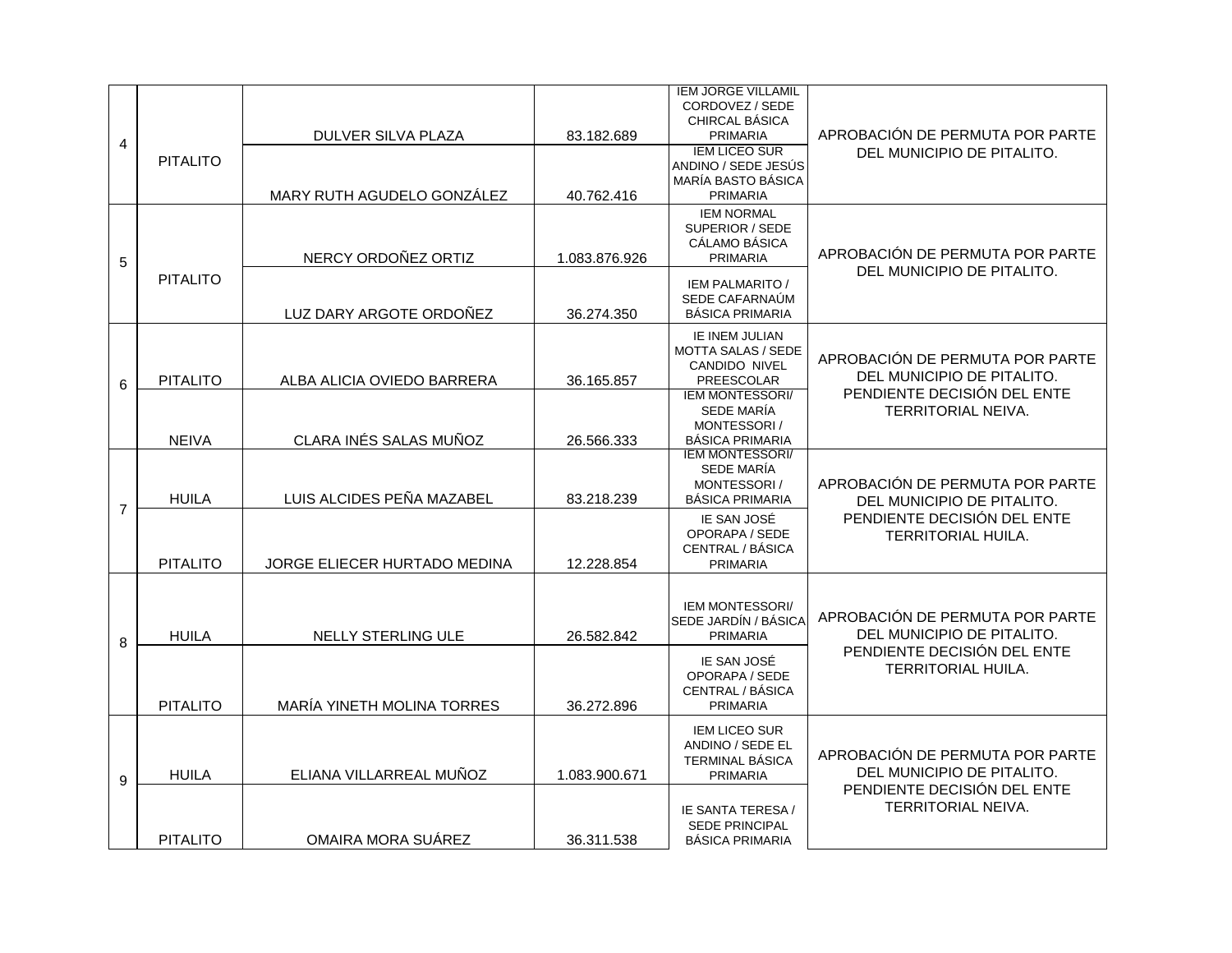|                |                 |                              |               | <b>IEM JORGE VILLAMIL</b><br>CORDOVEZ / SEDE<br>CHIRCAL BÁSICA                           |                                                                                                                           |
|----------------|-----------------|------------------------------|---------------|------------------------------------------------------------------------------------------|---------------------------------------------------------------------------------------------------------------------------|
| 4              |                 | DULVER SILVA PLAZA           | 83.182.689    | <b>PRIMARIA</b>                                                                          | APROBACIÓN DE PERMUTA POR PARTE                                                                                           |
|                | <b>PITALITO</b> | MARY RUTH AGUDELO GONZÁLEZ   | 40.762.416    | <b>IEM LICEO SUR</b><br>ANDINO / SEDE JESÚS<br>MARÍA BASTO BÁSICA<br><b>PRIMARIA</b>     | DEL MUNICIPIO DE PITALITO.                                                                                                |
| 5              |                 | NERCY ORDOÑEZ ORTIZ          | 1.083.876.926 | <b>IEM NORMAL</b><br>SUPERIOR / SEDE<br>CÁLAMO BÁSICA<br><b>PRIMARIA</b>                 | APROBACIÓN DE PERMUTA POR PARTE<br>DEL MUNICIPIO DE PITALITO.                                                             |
|                | <b>PITALITO</b> | LUZ DARY ARGOTE ORDOÑEZ      | 36.274.350    | <b>IEM PALMARITO /</b><br>SEDE CAFARNAÚM<br><b>BÁSICA PRIMARIA</b>                       |                                                                                                                           |
| 6              | <b>PITALITO</b> | ALBA ALICIA OVIEDO BARRERA   | 36.165.857    | IE INEM JULIAN<br><b>MOTTA SALAS / SEDE</b><br><b>CANDIDO NIVEL</b><br><b>PREESCOLAR</b> | APROBACIÓN DE PERMUTA POR PARTE<br>DEL MUNICIPIO DE PITALITO.<br>PENDIENTE DECISIÓN DEL ENTE<br><b>TERRITORIAL NEIVA.</b> |
|                | <b>NEIVA</b>    | CLARA INÉS SALAS MUÑOZ       | 26.566.333    | <b>IEM MONTESSORI/</b><br><b>SEDE MARÍA</b><br>MONTESSORI/<br><b>BÁSICA PRIMARIA</b>     |                                                                                                                           |
| $\overline{7}$ | <b>HUILA</b>    | LUIS ALCIDES PEÑA MAZABEL    | 83.218.239    | <b>IEM MONTESSORI/</b><br><b>SEDE MARÍA</b><br>MONTESSORI/<br><b>BÁSICA PRIMARIA</b>     | APROBACIÓN DE PERMUTA POR PARTE<br>DEL MUNICIPIO DE PITALITO.<br>PENDIENTE DECISIÓN DEL ENTE<br><b>TERRITORIAL HUILA.</b> |
|                | <b>PITALITO</b> | JORGE ELIECER HURTADO MEDINA | 12.228.854    | IE SAN JOSÉ<br>OPORAPA / SEDE<br>CENTRAL / BÁSICA<br><b>PRIMARIA</b>                     |                                                                                                                           |
|                | <b>HUILA</b>    | NELLY STERLING ULE           | 26.582.842    | <b>IEM MONTESSORI/</b><br>SEDE JARDÍN / BÁSICA<br><b>PRIMARIA</b>                        | APROBACIÓN DE PERMUTA POR PARTE<br>DEL MUNICIPIO DE PITALITO.                                                             |
| 8              | <b>PITALITO</b> | MARÍA YINETH MOLINA TORRES   | 36.272.896    | IE SAN JOSÉ<br>OPORAPA / SEDE<br>CENTRAL / BÁSICA<br><b>PRIMARIA</b>                     | PENDIENTE DECISIÓN DEL ENTE<br>TERRITORIAL HUILA.                                                                         |
| 9              | <b>HUILA</b>    | ELIANA VILLARREAL MUÑOZ      | 1.083.900.671 | <b>IEM LICEO SUR</b><br>ANDINO / SEDE EL<br><b>TERMINAL BÁSICA</b><br><b>PRIMARIA</b>    | APROBACIÓN DE PERMUTA POR PARTE<br>DEL MUNICIPIO DE PITALITO.<br>PENDIENTE DECISIÓN DEL ENTE<br>TERRITORIAL NEIVA.        |
|                | <b>PITALITO</b> | OMAIRA MORA SUÁREZ           | 36.311.538    | IE SANTA TERESA /<br><b>SEDE PRINCIPAL</b><br><b>BÁSICA PRIMARIA</b>                     |                                                                                                                           |